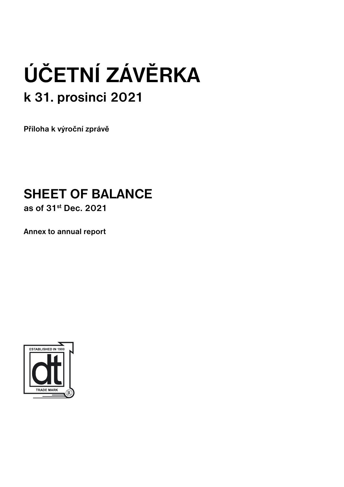# **ÚČETNÍ ZÁVĚRKA k 31. prosinci 2021**

**Příloha k výroční zprávě**

# **SHEET OF BALANCE**

**as of 31st Dec. 2021**

**Annex to annual report**

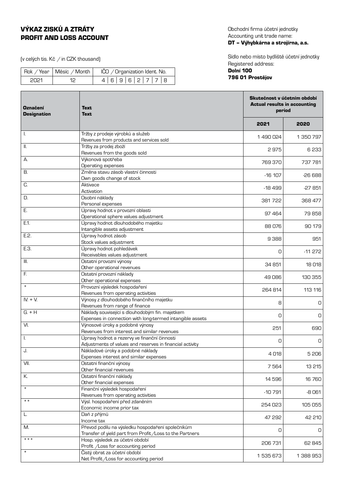# VÝKAZ ZISKŮ A ZTRÁTY PROFIT AND LOSS ACCOUNT

(v celých tis. Kč  $\neq$  in CZK thousand)

|       | Rok / Year   Měsíc / Month | IČO / Organization Ident. No. |
|-------|----------------------------|-------------------------------|
| -2021 |                            | 4 6 9 6 2 7 7 8               |

Obchodní firma účetní jednotky Accounting unit trade name: DT – Výhybkárna a strojírna, a.s.

Sídlo nebo místo bydliště účetní jednotky Registered address:

# Dolní 100 796 01 Prostějov

| <b>Označení</b><br><b>Designation</b> | <b>Text</b><br><b>Text</b>                                                     |           | Skutečnost v účetním období<br><b>Actual results in accounting</b><br>period |  |
|---------------------------------------|--------------------------------------------------------------------------------|-----------|------------------------------------------------------------------------------|--|
|                                       |                                                                                | 2021      | 2020                                                                         |  |
| Ι.                                    | Tržby z prodeje výrobků a služeb                                               | 1490024   | 1 350 797                                                                    |  |
|                                       | Revenues from products and services sold                                       |           |                                                                              |  |
| Ш.                                    | Tržby za prodej zboží                                                          | 2975      | 6233                                                                         |  |
|                                       | Revenues from the goods sold                                                   |           |                                                                              |  |
| А.                                    | Výkonová spotřeba                                                              | 769 370   | 737 781                                                                      |  |
| В.                                    | Operating expenses<br>Změna stavu zásob vlastní činnosti                       |           |                                                                              |  |
|                                       | Own goods change of stock                                                      | $-16$ 107 | $-26688$                                                                     |  |
| C.                                    | Aktivace                                                                       |           |                                                                              |  |
|                                       | Activation                                                                     | $-18499$  | $-27851$                                                                     |  |
| D.                                    | Osobní náklady                                                                 |           |                                                                              |  |
|                                       | Personal expenses                                                              | 381 722   | 368 477                                                                      |  |
| Ε.                                    | Úpravy hodnot v provozní oblasti                                               | 97 464    | 79858                                                                        |  |
|                                       | Operational sphere values adjustment                                           |           |                                                                              |  |
| E.1.                                  | Úpravy hodnot dlouhodobého majetku                                             | 88 076    | 90 179                                                                       |  |
|                                       | Intangible assets adjustment                                                   |           |                                                                              |  |
| E.2.                                  | Úpravy hodnot zásob                                                            | 9388      | 951                                                                          |  |
| E.3.                                  | Stock values adjustment<br>Úpravy hodnot pohledávek                            |           |                                                                              |  |
|                                       | Receivables values adjustment                                                  | 0         | $-11272$                                                                     |  |
| III.                                  | Ostatní provozní výnosy                                                        |           |                                                                              |  |
|                                       | Other operational revenues                                                     | 34 851    | 18 018                                                                       |  |
| F.                                    | Ostatní provozní náklady                                                       |           |                                                                              |  |
|                                       | Other operational expenses                                                     | 49086     | 130 355                                                                      |  |
| $\star$                               | Provozní výsledek hospodaření                                                  | 264 814   | 113 116                                                                      |  |
|                                       | Revenues from operating activities                                             |           |                                                                              |  |
| $IV. + V.$                            | Výnosy z dlouhodobého finančního majetku                                       | 8         | O                                                                            |  |
|                                       | Revenues from range of finance                                                 |           |                                                                              |  |
| $G. + H$                              | Náklady související s dlouhodobým fin. majetkem                                | 0         | 0                                                                            |  |
| VI.                                   | Expenses in connection with long-termed intangible assets                      |           |                                                                              |  |
|                                       | Výnosové úroky a podobné výnosy<br>Revenues from interest and similar revenues | 251       | 690                                                                          |  |
| I.                                    | Úpravy hodnot a rezervy ve finanční činnosti                                   |           |                                                                              |  |
|                                       | Adjustments of values and reserves in financial activity                       | 0         | 0                                                                            |  |
| J.                                    | Nákladové úroky a podobné náklady                                              |           |                                                                              |  |
|                                       | Expenses interest and similar expenses                                         | 4018      | 5 206                                                                        |  |
| VII.                                  | Ostatní finanční výnosy                                                        | 7564      | 13 215                                                                       |  |
|                                       | Other financial revenues                                                       |           |                                                                              |  |
| К.                                    | Ostatní finanční náklady                                                       | 14 596    | 16760                                                                        |  |
| $\star$                               | Other financial expenses                                                       |           |                                                                              |  |
|                                       | Finanční výsledek hospodaření                                                  | $-10791$  | -8061                                                                        |  |
| $\star \star$                         | Revenues from operating activities<br>Výsl. hospodaření před zdaněním          |           |                                                                              |  |
|                                       | Economic income prior tax                                                      | 254 023   | 105 055                                                                      |  |
| L.                                    | Daň z příjmů                                                                   |           |                                                                              |  |
|                                       | Income tax                                                                     | 47 292    | 42 210                                                                       |  |
| M.                                    | Převod podílu na výsledku hospodaření společníkům                              |           |                                                                              |  |
|                                       | Transfer of yield part from Profit / Loss to the Partners                      | 0         | 0                                                                            |  |
| $***$                                 | Hosp. výsledek za účetní období                                                | 206 731   | 62 845                                                                       |  |
|                                       | Profit /Loss for accounting period                                             |           |                                                                              |  |
| $\star$                               | Čistý obrat za účetní období                                                   | 1 535 673 | 1 388 953                                                                    |  |
|                                       | Net Profit/Loss for accounting period                                          |           |                                                                              |  |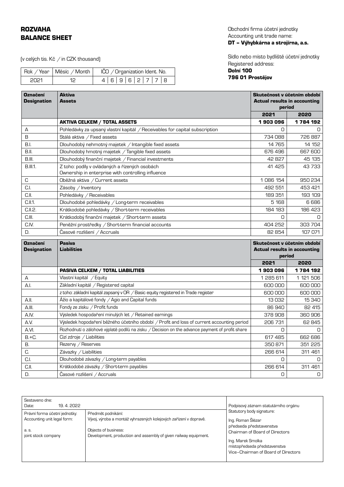# ROZVAHA BALANCE SHEET

(v celých tis. Kč  $/$  in CZK thousand)

|       | Rok / Year   Měsíc / Month | IČO / Organization Ident. No. |
|-------|----------------------------|-------------------------------|
| -2021 |                            | 4 6 9 6 2 7 7 8               |

Obchodní firma účetní jednotky Accounting unit trade name: DT – Výhybkárna a strojírna, a.s.

Sídlo nebo místo bydliště účetní jednotky Registered address:

# Dolní 100 796 01 Prostějov

| <b>Označení</b><br><b>Designation</b> | Aktiva<br>Assets                                                                                     |           | Skutečnost v účetním období<br><b>Actual results in accounting</b><br>period |  |
|---------------------------------------|------------------------------------------------------------------------------------------------------|-----------|------------------------------------------------------------------------------|--|
|                                       |                                                                                                      | 2021      | 2020                                                                         |  |
|                                       | <b>AKTIVA CELKEM / TOTAL ASSETS</b>                                                                  | 1903096   | 1 784 192                                                                    |  |
| А                                     | Pohledávky za upsaný vlastní kapitál / Receivables for capital subscription                          | 0         | n.                                                                           |  |
| B                                     | Stálá aktiva / Fixed assets                                                                          | 734 088   | 726 887                                                                      |  |
| <b>B.I.</b>                           | Dlouhodobý nehmotný majetek / Intangible fixed assets                                                | 14765     | 14 152                                                                       |  |
| B.II.                                 | Dlouhodobý hmotný majetek / Tangible fixed assets                                                    | 676 496   | 667 600                                                                      |  |
| B.III.                                | Dlouhodobý finanční majetek / Financial investments                                                  | 42827     | 45 135                                                                       |  |
| <b>B.III.1.</b>                       | Z toho: podíly v ovládaných a řízených osobách<br>Ownership in enterprise with controlling influence | 41 425    | 43 733                                                                       |  |
| C                                     | Oběžná aktiva / Current assets                                                                       | 1086 154  | 950 234                                                                      |  |
| C.I.                                  | Zásoby / Inventory                                                                                   | 492 551   | 453 421                                                                      |  |
| C.II.                                 | Pohledávky / Receivables                                                                             | 189 351   | 193 109                                                                      |  |
| C.II.1.                               | Dlouhodobé pohledávky / Long-term receivables                                                        | 5 168     | 6 6 8 6                                                                      |  |
| C.II.2.                               | Krátkodobé pohledávky / Short-term receivables                                                       | 184 183   | 186 423                                                                      |  |
| C.III.                                | Krátkodobý finanční majetek / Short-term assets                                                      | O         | 0                                                                            |  |
| C.IV.                                 | Peněžní prostředky / Short-term financial accounts                                                   | 404 252   | 303 704                                                                      |  |
| D.                                    | Časové rozlišení / Accruals                                                                          | 82 854    | 107 071                                                                      |  |
| <b>Označení</b><br><b>Designation</b> | <b>Pasiva</b><br><b>Liabilities</b>                                                                  |           | Skutečnost v účetním období<br><b>Actual results in accounting</b><br>period |  |
|                                       |                                                                                                      | 2021      | 2020                                                                         |  |
|                                       | <b>PASIVA CELKEM / TOTAL LIABILITIES</b>                                                             | 1903096   | 1784 192                                                                     |  |
| A                                     | Vlastní kapitál / Equity                                                                             | 1 285 611 | 1 121 506                                                                    |  |
| A.I.                                  | Základní kapitál / Registered capital                                                                | 600 000   | 600 000                                                                      |  |
|                                       | z toho: základní kapitál zapsaný v OR / Basic equity registered in Trade register                    | 600 000   | 600 000                                                                      |  |
| A.I.                                  | Ážio a kapitálové fondy / Agio and Capital funds                                                     | 13032     | 15340                                                                        |  |
| A.III.                                | Fondy ze zisku / Profit funds                                                                        | 86 940    | 82 415                                                                       |  |
| A.IV.                                 | Výsledek hospodaření minulých let / Retained earnings                                                | 378908    | 360 906                                                                      |  |
| A.V.                                  | Výsledek hopodaření běžného účetního období / Profit and loss of current accounting period           | 206 731   | 62 845                                                                       |  |
| A.VI.                                 | Rozhodnutí o zálohové výplatě podílů na zisku / Decision on the advance payment of profit share      | 0         | 0                                                                            |  |
| $B.+C.$                               | Cizí zdroje / Liabilities                                                                            | 617 485   | 662 686                                                                      |  |
| В.                                    | Rezervy / Reserves                                                                                   | 350871    | 351 225                                                                      |  |
| C.                                    | Závazky / Liabilities                                                                                | 266 614   | 311 461                                                                      |  |
| C.I.                                  | Dlouhodobé závazky / Long-term payables                                                              | О         | 0                                                                            |  |
| C.II.                                 | Krátkodobé závazky / Short-term payables                                                             | 266 614   | 311 461                                                                      |  |

| Sestaveno dne:<br>19, 4, 2022<br>Date:                                                       |                                                                                                                                                                                     | Podpisový záznam statutárního orgánu                                                                                             |  |
|----------------------------------------------------------------------------------------------|-------------------------------------------------------------------------------------------------------------------------------------------------------------------------------------|----------------------------------------------------------------------------------------------------------------------------------|--|
| Právní forma účetní jednotky:<br>Accounting unit legal form:<br>a. s.<br>joint stock company | Předmět podnikání:<br>Vývoj, výroba a montáž vyhrazených kolejových zařízení v dopravě.<br>Objects of business:<br>Development, production and assembly of given railway equipment. | Statutory body signature:<br>Ing. Roman Šlézar<br>předseda představenstva<br>Chairman of Board of Directors<br>Ing. Marek Smolka |  |
|                                                                                              |                                                                                                                                                                                     | místopředseda představenstva<br>Vice-Chairman of Board of Directors                                                              |  |

D. Časové rozlišení / Accruals **D. Vermet Constantine Constantine Constantine Constantine Constantine Constantine Constantine Constantine Constantine Constantine Constantine Constantine Constantine Constantine Constantine**